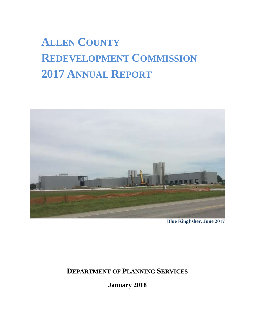# **ALLEN COUNTY REDEVELOPMENT COMMISSION 2017 ANNUAL REPORT**



**Blue Kingfisher, June 2017**

# **DEPARTMENT OF PLANNING SERVICES**

**January 2018**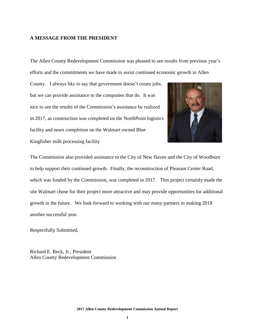### **A MESSAGE FROM THE PRESIDENT**

The Allen County Redevelopment Commission was pleased to see results from previous year's efforts and the commitments we have made to assist continued economic growth in Allen

County. I always like to say that government doesn't create jobs, but we can provide assistance to the companies that do. It was nice to see the results of the Commission's assistance be realized in 2017, as construction was completed on the NorthPoint logistics facility and nears completion on the Walmart owned Blue Kingfisher milk processing facility



The Commission also provided assistance to the City of New Haven and the City of Woodburn to help support their continued growth. Finally, the reconstruction of Pleasant Center Road, which was funded by the Commission, was completed in 2017. This project certainly made the site Walmart chose for their project more attractive and may provide opportunities for additional growth in the future. We look forward to working with our many partners in making 2018 another successful year.

Respectfully Submitted,

Richard E. Beck, Jr., President Allen County Redevelopment Commission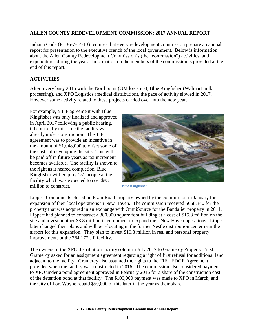# **ALLEN COUNTY REDEVELOPMENT COMMISSION: 2017 ANNUAL REPORT**

Indiana Code (IC 36-7-14-13) requires that every redevelopment commission prepare an annual report for presentation to the executive branch of the local government. Below is information about the Allen County Redevelopment Commission's (the "commission") activities, and expenditures during the year. Information on the members of the commission is provided at the end of this report.

## **ACTIVITIES**

After a very busy 2016 with the Northpoint (GM logistics), Blue Kingfisher (Walmart milk processing), and XPO Logistics (medical distribution), the pace of activity slowed in 2017. However some activity related to these projects carried over into the new year.

For example, a TIF agreement with Blue Kingfisher was only finalized and approved in April 2017 following a public hearing. Of course, by this time the facility was already under construction. The TIF agreement was to provide an incentive in the amount of \$1,048,000 to offset some of the costs of developing the site. This will be paid off in future years as tax increment becomes available. The facility is shown to the right as it neared completion. Blue Kingfisher will employ 151 people at the facility which was expected to cost \$83 million to construct.



**Blue Kingfisher**

Lippert Components closed on Ryan Road property owned by the commission in January for expansion of their local operations in New Haven. The commission received \$668,340 for the property that was acquired in an exchange with OmniSource for the Bandalier property in 2011. Lippert had planned to construct a 380,000 square foot building at a cost of \$15.3 million on the site and invest another \$3.8 million in equipment to expand their New Haven operations. Lippert later changed their plans and will be relocating in the former Nestle distribution center near the airport for this expansion. They plan to invest \$10.8 million in real and personal property improvements at the 764,177 s.f. facility.

The owners of the XPO distribution facility sold it in July 2017 to Gramercy Property Trust. Gramercy asked for an assignment agreement regarding a right of first refusal for additional land adjacent to the facility. Gramercy also assumed the rights to the TIF LEDGE Agreement provided when the facility was constructed in 2016. The commission also considered payment to XPO under a pond agreement approved in February 2016 for a share of the construction cost of the detention pond at that facility. The \$100,000 payment was made to XPO in March, and the City of Fort Wayne repaid \$50,000 of this later in the year as their share.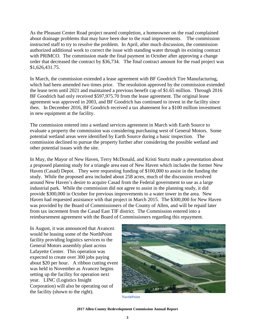As the Pleasant Center Road project neared completion, a homeowner on the road complained about drainage problems that may have been due to the road improvements. The commission instructed staff to try to resolve the problem. In April, after much discussion, the commission authorized additional work to correct the issue with standing water through its existing contract with PRIMCO. The commission made the final payment in October after approving a change order that decreased the contract by \$36,734. The final contract amount for the road project was \$1,626,431.75.

In March, the commission extended a lease agreement with BF Goodrich Tire Manufacturing, which had been amended two times prior. The resolution approved by the commission extended the lease term until 2021 and maintained a previous benefit cap of \$1.65 million. Through 2016 BF Goodrich had only received \$597,975.70 from the lease agreement. The original lease agreement was approved in 2003, and BF Goodrich has continued to invest in the facility since then. In December 2016, BF Goodrich received a tax abatement for a \$100 million investment in new equipment at the facility.

The commission entered into a wetland services agreement in March with Earth Source to evaluate a property the commission was considering purchasing west of General Motors. Some potential wetland areas were identified by Earth Source during a basic inspection. The commission declined to pursue the property further after considering the possible wetland and other potential issues with the site.

In May, the Mayor of New Haven, Terry McDonald, and Kristi Sturtz made a presentation about a proposed planning study for a triangle area east of New Haven which includes the former New Haven (Casad) Depot. They were requesting funding of \$100,000 to assist in the funding the study. While the proposed area included about 258 acres, much of the discussion revolved around New Haven's desire to acquire Casad from the Federal government to use as a large industrial park. While the commission did not agree to assist in the planning study, it did provide \$300,000 in October for previous improvements to a water tower in the area. New Haven had requested assistance with that project in March 2015. The \$300,000 for New Haven was provided by the Board of Commissioners of the County of Allen, and will be repaid later from tax increment from the Casad East TIF district. The Commission entered into a reimbursement agreement with the Board of Commissioners regarding this repayment.

In August, it was announced that Avancez would be leasing some of the NorthPoint facility providing logistics services to the General Motors assembly plant across Lafayette Center. This operation was expected to create over 300 jobs paying about \$20 per hour. A ribbon cutting event was held in November as Avancez begins setting up the facility for operation next year. LINC (Logistics Insight Corporation) will also be operating out of the facility (shown to the right).



**NorthPoint**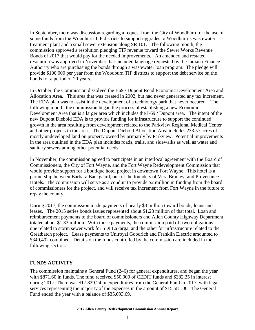In September, there was discussion regarding a request from the City of Woodburn for the use of some funds from the Woodburn TIF districts to support upgrades to Woodburn's wastewater treatment plant and a small sewer extension along SR 101. The following month, the commission approved a resolution pledging TIF revenue toward the Sewer Works Revenue Bonds of 2017 that would pay for the needed improvements. An amended and restated resolution was approved in November that included language requested by the Indiana Finance Authority who are purchasing the bonds through a wastewater loan program. The pledge will provide \$100,000 per year from the Woodburn TIF districts to support the debt service on the bonds for a period of 20 years.

In October, the Commission dissolved the I-69 / Dupont Road Economic Development Area and Allocation Area. This area that was created in 2002, but had never generated any tax increment. The EDA plan was to assist in the development of a technology park that never occured. The following month, the commission began the process of establishing a new Economic Development Area that is a larger area which includes the I-69 / Dupont area. The intent of the new Dupont Diebold EDA is to provide funding for infrastructure to support the continued growth in the area resulting from development related to the Parkview Regional Medical Center and other projects in the area. The Dupont Diebold Allocation Area includes 233.57 acres of mostly undeveloped land on property owned by primarily by Parkview. Potential improvements in the area outlined in the EDA plan includes roads, trails, and sidewalks as well as water and sanitary sewers among other potential needs.

In November, the commission agreed to participate in an interlocal agreement with the Board of Commissioners, the City of Fort Wayne, and the Fort Wayne Redevelopment Commission that would provide support for a boutique hotel project in downtown Fort Wayne. This hotel is a partnership between Barbara Baekgaard, one of the founders of Vera Bradley, and Provenance Hotels. The commission will serve as a conduit to provide \$2 million in funding from the board of commissioners for the project, and will receive tax increment from Fort Wayne in the future to repay the county.

During 2017, the commission made payments of nearly \$3 million toward bonds, loans and leases. The 2015 series bonds issues represented about \$1.28 million of that total. Loan and reimbursement payments to the board of commissioners and Allen County Highway Department totaled about \$1.33 million. With those payments, the commission paid off two obligations – one related to storm sewer work for SDI LaFarga, and the other for infrastructure related to the Greatbatch project. Lease payments to Uniroyal Goodrich and Franklin Electric amounted to \$340,402 combined. Details on the funds controlled by the commission are included in the following section.

# **FUNDS ACTIVITY**

The commission maintains a General Fund (246) for general expenditures, and began the year with \$871.60 in funds. The fund received \$50,000 of CEDIT funds and \$382.35 in interest during 2017. There was \$17,829.24 in expenditures from the General Fund in 2017, with legal services representing the majority of the expenses in the amount of \$15,581.06. The General Fund ended the year with a balance of \$35,093.69.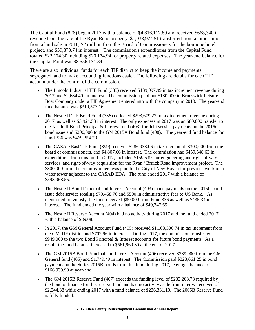The Capital Fund (826) began 2017 with a balance of \$4,816,117.89 and received \$668,340 in revenue from the sale of the Ryan Road property, \$1,033,974.51 transferred from another fund from a land sale in 2016, \$2 million from the Board of Commissioners for the boutique hotel project, and \$59,873.74 in interest. The commission's expenditures from the Capital Fund totaled \$22,174.30 including \$20,174.94 for property related expenses. The year-end balance for the Capital Fund was \$8,556,131.84.

There are also individual funds for each TIF district to keep the income and payments segregated, and to make accounting functions easier. The following are details for each TIF account under the control of the commission.

- The Lincoln Industrial TIF Fund (333) received \$139,097.99 in tax increment revenue during 2017 and \$2,684.40 in interest. The commission paid out \$130,000 to Brunswick Leisure Boat Company under a TIF Agreement entered into with the company in 2013. The year-end fund balance was \$310,573.16.
- The Nestle II TIF Bond Fund (336) collected \$293,679.22 in tax increment revenue during 2017, as well as \$3,924.53 in interest. The only expenses in 2017 was an \$80,000 transfer to the Nestle II Bond Principal & Interest fund (403) for debt service payments on the 2015C bond issue and \$200,000 to the GM 2015A Bond fund (408). The year-end fund balance for Fund 336 was \$469,354.79.
- The CASAD East TIF Fund (399) received \$286,938.06 in tax increment, \$300,000 from the board of commissioners, and \$4,807.66 in interest. The commission had \$459,548.63 in expenditures from this fund in 2017, included \$159,549 for engineering and right-of-way services, and right-of-way acquisition for the Ryan / Bruick Road improvement project. The \$300,000 from the commissioners was paid to the City of New Haven for previous work on a water tower adjacent to the CASAD EDA. The fund ended 2017 with a balance of \$593,968.55.
- The Nestle II Bond Principal and Interest Account (403) made payments on the 2015C bond issue debt service totaling \$79,468.76 and \$500 in administrative fees to US Bank. As mentioned previously, the fund received \$80,000 from Fund 336 as well as \$435.34 in interest. The fund ended the year with a balance of \$40,747.65.
- The Nestle II Reserve Account (404) had no activity during 2017 and the fund ended 2017 with a balance of \$89.08.
- In 2017, the GM General Account Fund  $(405)$  received \$1,103,506.74 in tax increment from the GM TIF district and \$702.96 in interest. During 2017, the commission transferred \$949,000 to the two Bond Principal & Interest accounts for future bond payments. As a result, the fund balance increased to \$561,969.30 at the end of 2017.
- The GM 2015B Bond Principal and Interest Account (406) received \$339,900 from the GM General fund (405) and \$1,749.49 in interest. The Commission paid \$323,661.25 in bond payments on the Series 2015B bonds from this fund during 2017, leaving a balance of \$166,939.90 at year-end.
- The GM 2015B Reserve Fund (407) exceeds the funding level of \$232,203.73 required by the bond ordinance for this reserve fund and had no activity aside from interest received of \$2,344.38 while ending 2017 with a fund balance of \$236,331.10. The 2005B Reserve Fund is fully funded.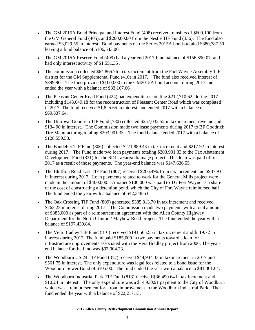- The GM 2015A Bond Principal and Interest Fund (408) received transfers of \$609,100 from the GM General Fund (405), and \$200,00.00 from the Nestle TIF Fund (336). The fund also earned \$3,029.55 in interest. Bond payments on the Series 2015A bonds totaled \$880,787.50 leaving a fund balance of \$106,543.00.
- The GM 2015A Reserve Fund (409) had a year end 2017 fund balance of \$156,390.07 and had only interest activity of \$1,551.35 .
- The commission collected \$64,866.76 in tax increment from the Fort Wayne Assembly TIF district for the GM Supplemental Fund (410) in 2017. The fund also received interest of \$399.90. The fund provided \$100,000 to the GM2015A bond account during 2017 and ended the year with a balance of \$33,167.66
- The Pleasant Center Road Fund (424) had expenditures totaling \$212,710.62 during 2017 including \$143,049.18 for the reconstruction of Pleasant Center Road which was completed in 2017. The fund received \$1,825.65 in interest, and ended 2017 with a balance of \$60,837.64.
- The Uniroyal Goodrich TIF Fund (780) collected \$257,032.52 in tax increment revenue and \$134.00 in interest. The Commission made two lease payments during 2017 to BF Goodrich Tire Manufacturing totaling \$203,901.33. The fund balance ended 2017 with a balance of \$128,559.58.
- The Bandelier TIF Fund (806) collected \$271,889.43 in tax increment and \$217.92 in interest during 2017. The Fund made two loan payments totaling \$203,901.33 to the Tax Abatement Development Fund (331) for the SDI LaFarga drainage project. This loan was paid off in 2017 as a result of those payments. The year-end balance was \$147,636.55.
- The Bluffton Road East TIF Fund (807) received \$266,496.15 in tax increment and \$987.93 in interest during 2017. Loan payments related to work for the General Mills project were made in the amount of \$400,000. Another \$100,000 was paid to TG Fort Wayne as a share of the cost of constructing a detention pond, which the City of Fort Wayne reimbursed half. The fund ended the year with a balance of \$42,348.63.
- The Oak Crossing TIF Fund (809) generated \$385,813.70 in tax increment and received \$263.23 in interest during 2017. The Commission made two payments with a total amount of \$385,000 as part of a reimbursement agreement with the Allen County Highway Department for the North Clinton / Mayhew Road project. The fund ended the year with a balance of \$197,439.84.
- The Vera Bradley TIF Fund (810) received \$191,565.55 in tax increment and \$119.72 in interest during 2017. The fund paid \$185,000 in two payments toward a loan for infrastructure improvements associated with the Vera Bradley project from 2006. The yearend balance for the fund was \$97,004.73.
- The Woodburn US 24 TIF Fund (812) received \$44,934.33 in tax increment in 2017 and \$561.75 in interest. The only expenditure was legal fees related to a bond issue for the Woodburn Sewer Bond of \$105.00. The fund ended the year with a balance to \$81,361.64.
- The Woodburn Industrial Park TIF Fund (813) received \$36,490.64 in tax increment and \$10.24 in interest. The only expenditure was a \$14,930.91 payment to the City of Woodburn which was a reimbursement for a road improvement in the Woodburn Industrial Park. The fund ended the year with a balance of \$22,217.13.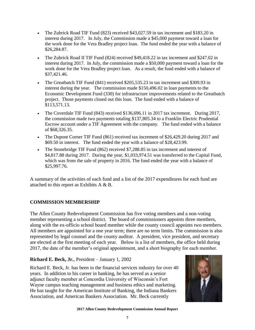- The Zubrick Road TIF Fund (823) received \$43,027.59 in tax increment and \$183.20 in interest during 2017. In July, the Commission made a \$45,000 payment toward a loan for the work done for the Vera Bradley project loan. The fund ended the year with a balance of \$26,284.87.
- The Zubrick Road II TIF Fund (824) received \$49,418.22 in tax increment and \$247.02 in interest during 2017. In July, the commission made a \$50,000 payment toward a loan for the work done for the Vera Bradley project loan. As a result, the fund ended with a balance of \$37,421.46.
- The Greatbatch TIF Fund (841) received \$205,535.23 in tax increment and \$309.93 in interest during the year. The commission made \$150,496.02 in loan payments to the Economic Development Fund (330) for infrastructure improvements related to the Greatbatch project. Those payments closed out this loan. The fund ended with a balance of \$113,571.13.
- The Coverdale TIF Fund (843) received \$136,696.11 in 2017 tax increment. During 2017, the commission made two payments totaling \$137,805.34 to a Franklin Electric Prudential Escrow account under a TIF Agreement with the company. The fund ended with a balance of \$68,326.35.
- The Dupont Corner TIF Fund (861) received tax increment of \$26,429.20 during 2017 and \$69.50 in interest. The fund ended the year with a balance of \$28,423.99.
- The Stonebridge TIF Fund (862) received \$7,288.85 in tax increment and interest of \$4,817.88 during 2017. During the year, \$1,033,974.51 was transferred to the Capital Fund, which was from the sale of property in 2016. The fund ended the year with a balance of \$25,997.76.

A summary of the activities of each fund and a list of the 2017 expenditures for each fund are attached to this report as Exhibits A & B.

# **COMMISSION MEMBERSHIP**

The Allen County Redevelopment Commission has five voting members and a non-voting member representing a school district. The board of commissioners appoints three members, along with the ex-officio school board member while the county council appoints two members. All members are appointed for a one year term; there are no term limits. The commission is also represented by legal counsel and the county auditor. A president, vice president, and secretary are elected at the first meeting of each year. Below is a list of members, the office held during 2017, the date of the member's original appointment, and a short biography for each member.

# **Richard E. Beck, Jr.**, President – January 1, 2002

Richard E. Beck, Jr. has been in the financial services industry for over 40 years. In addition to his career in banking, he has served as a senior adjunct faculty member at Concordia University of Wisconsin's Fort Wayne campus teaching management and business ethics and marketing. He has taught for the American Institute of Banking, the Indiana Bankers Association, and American Bankers Association. Mr. Beck currently



**2017 Allen County Redevelopment Commission Annual Report**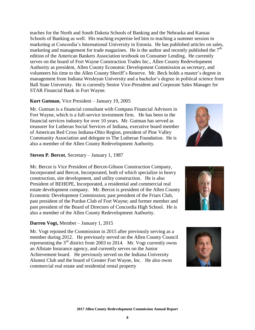teaches for the North and South Dakota Schools of Banking and the Nebraska and Kansas Schools of Banking as well. His teaching expertise led him to teaching a summer session in marketing at Concordia's International University in Estonia. He has published articles on sales, marketing and management for trade magazines. He is the author and recently published the  $7<sup>th</sup>$ edition of the American Bankers Association textbook on Consumer Lending. He currently serves on the board of Fort Wayne Construction Trades Inc., Allen County Redevelopment Authority as president, Allen County Economic Development Commission as secretary, and volunteers his time to the Allen County Sheriff's Reserve. Mr. Beck holds a master's degree in management from Indiana Wesleyan University and a bachelor's degree in political science from Ball State University. He is currently Senior Vice-President and Corporate Sales Manager for STAR Financial Bank in Fort Wayne.

### **Kurt Gutman**, Vice President – January 19, 2005

Mr. Gutman is a financial consultant with Compass Financial Advisors in Fort Wayne, which is a full-service investment firm. He has been in the financial services industry for over 10 years. Mr. Gutman has served as treasurer for Lutheran Social Services of Indiana, executive board member of American Red Cross Indiana-Ohio Region, president of Pine Valley Community Association and delegate to The Lutheran Foundation. He is also a member of the Allen County Redevelopment Authority.

### **Steven P. Bercot**, Secretary – January 1, 1987

Mr. Bercot is Vice President of Bercot-Gibson Construction Company, Incorporated and Bercot, Incorporated, both of which specialize in heavy construction, site development, and utility construction. He is also President of BEHEPE, Incorporated, a residential and commercial real estate development company. Mr. Bercot is president of the Allen County Economic Development Commission; past president of the Friars Club, past president of the Purdue Club of Fort Wayne; and former member and past president of the Board of Directors of Concordia High School. He is also a member of the Allen County Redevelopment Authority.

### **Darren Vogt,** Member – January 1, 2015

Mr. Vogt rejoined the Commission in 2015 after previously serving as a member during 2012. He previously served on the Allen County Council representing the  $3<sup>rd</sup>$  district from 2003 to 2014. Mr. Vogt currently owns an Allstate Insurance agency, and currently serves on the Junior Achievement board. He previously served on the Indiana University Alumni Club and the board of Greater Fort Wayne, Inc. He also owns commercial real estate and residential rental property





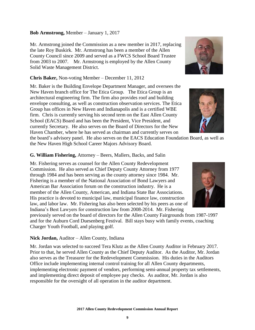# **Bob Armstrong,** Member – January 1, 2017

Mr. Armstrong joined the Commission as a new member in 2017, replacing the late Roy Buskirk. Mr. Armstrong has been a member of the Allen County Council since 2009 and served as a FWCS School Board Trustee from 2003 to 2007. Mr. Armstrong is employed by the Allen County Solid Waste Management District.

### **Chris Baker,** Non-voting Member – December 11, 2012

Mr. Baker is the Building Envelope Department Manager, and oversees the New Haven branch office for The Etica Group. The Etica Group is an architectural engineering firm. The firm also provides roof and building envelope consulting, as well as construction observation services. The Etica Group has offices in New Haven and Indianapolis and is a certified WBE firm. Chris is currently serving his second term on the East Allen County School (EACS) Board and has been the President, Vice President, and currently Secretary. He also serves on the Board of Directors for the New Haven Chamber, where he has served as chairman and currently serves on

the board's advisory panel. He also serves on the EACS Education Foundation Board, as well as the New Haven High School Career Majors Advisory Board.

### **G. William Fishering,** Attorney – Beers, Mallers, Backs, and Salin

Mr. Fishering serves as counsel for the Allen County Redevelopment Commission. He also served as Chief Deputy County Attorney from 1977 through 1984 and has been serving as the county attorney since 1984. Mr. Fishering is a member of the National Association of Bond Lawyers and American Bar Association forum on the construction industry. He is a member of the Allen County, American, and Indiana State Bar Associations. His practice is devoted to municipal law, municipal finance law, construction law, and labor law. Mr. Fishering has also been selected by his peers as one of Indiana's Best Lawyers for construction law from 2008-2014. Mr. Fishering

previously served on the board of directors for the Allen County Fairgrounds from 1987-1997 and for the Auburn Cord Duesenberg Festival. Bill stays busy with family events, coaching Charger Youth Football, and playing golf.

### **Nick Jordan,** Auditor – Allen County, Indiana

Mr. Jordan was selected to succeed Tera Klutz as the Allen County Auditor in February 2017. Prior to that, he served Allen County as the Chief Deputy Auditor. As the Auditor, Mr. Jordan also serves as the Treasurer for the Redevelopment Commission. His duties in the Auditors Office include implementing internal control training for all Allen County departments, implementing electronic payment of vendors, performing semi-annual property tax settlements, and implementing direct deposit of employee pay checks. As auditor, Mr. Jordan is also responsible for the oversight of all operation in the auditor department.